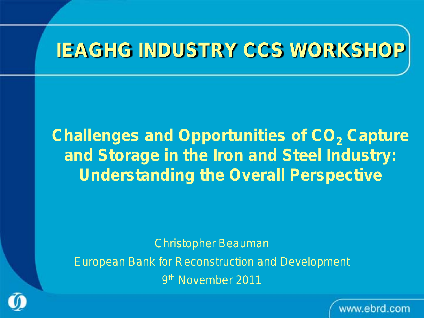### **IEAGHG INDUSTRY CCS WORKSHOP**

*Challenges and Opportunities of CO<sub>2</sub> Capture and Storage in the Iron and Steel Industry: Understanding the Overall Perspective*

Christopher Beauman

European Bank for Reconstruction and Development

9th November 2011

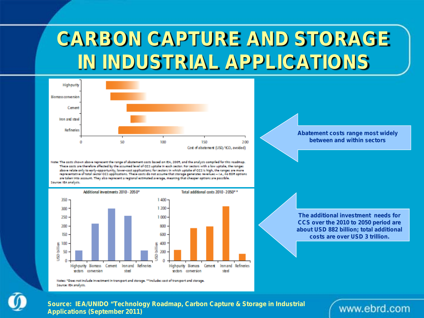## **CARBON CAPTURE AND STORAGE IN INDUSTRIAL APPLICATIONS**



Note: The costs shown above represent the range of abatement costs based on IEA, 2005, and the analysis compiled for this roadmap. These costs are therefore affected by the assumed level of CCS uptake in each sector. For sectors with a low uptake, the ranges above relate only to early-opportunity, lower-cost applications; for sectors in which uptake of CCS is high, the ranges are more representative of total sector CCS applications. These costs do not assume that storage generates revenues - i.e., no COR options are taken into account. They also represent a regional estimated average, meaning that cheaper options are possible. Source: IEA analysis.



Note: "Doe: not include investment in transport and storage. ""Includes cost of transport and storage. Source: IEA analysis.

**Abatement costs range most widely between and within sectors**

**The additional investment needs for CCS over the 2010 to 2050 period are about USD 882 billion; total additional costs are over USD 3 trillion.**



*Source: IEA/UNIDO "Technology Roadmap, Carbon Capture & Storage in Industrial Applications (September 2011)*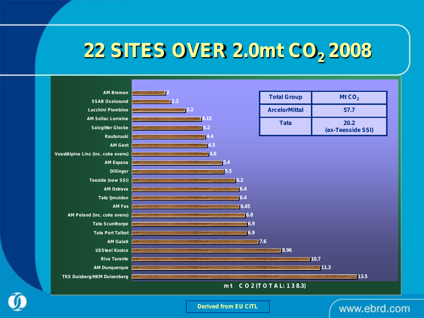## **22 SITES OVER 2.0mt CO<sub>2</sub> 2008**



*Derived from EU CITL*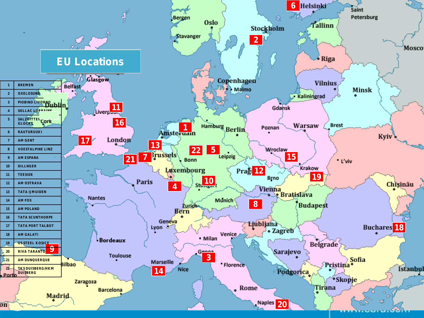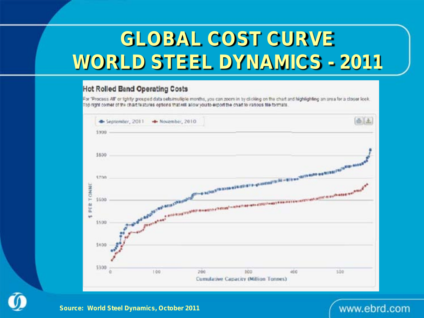# **GLOBAL COST CURVE WORLD STEEL DYNAMICS - 2011**

#### **Hot Rolled Band Operating Costs**

For "Process AIF or lightly grouped data sels/multiple months, you can zoom in by di-cking on the chart and highlighting an area for a closer look. The right comer of the chart fastures options that will allow you to export the chart to various tile formats.



*Source: World Steel Dynamics, October 2011*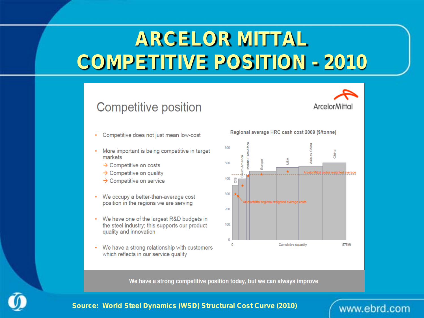# **ARCELOR MITTAL COMPETITIVE POSITION - 2010**





- Competitive does not just mean low-cost
- More important is being competitive in target markets
	- $\rightarrow$  Competitive on costs
	- $\rightarrow$  Competitive on quality
	- $\rightarrow$  Competitive on service
- We occupy a better-than-average cost position in the regions we are serving
- We have one of the largest R&D budgets in the steel industry; this supports our product quality and innovation
- We have a strong relationship with customers which reflects in our service quality

Regional average HRC cash cost 2009 (\$/tonne)



We have a strong competitive position today, but we can always improve



*Source: World Steel Dynamics (WSD) Structural Cost Curve (2010)*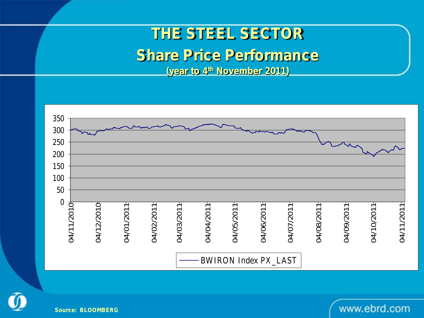### **THE STEEL SECTOR**

### **Share Price Performance**

**(year to 4th November 2011)**



www.ebrd.com



*Source: BLOOMBERG*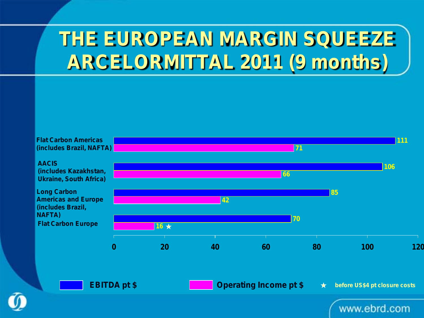# **THE EUROPEAN MARGIN SQUEEZE ARCELORMITTAL 2011 (9 months)**



**before US\$4 pt closure costs**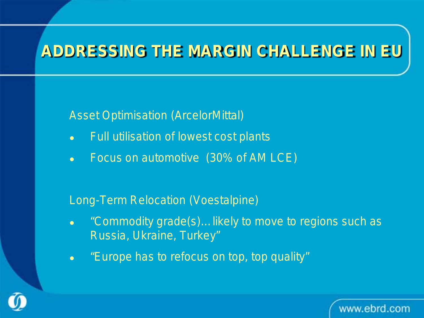### **ADDRESSING THE MARGIN CHALLENGE IN EU**

Asset Optimisation (ArcelorMittal)

- Full utilisation of lowest cost plants
- Focus on automotive (30% of AM LCE)

Long-Term Relocation (Voestalpine)

 "Commodity grade(s)…likely to move to regions such as Russia, Ukraine, Turkey"

www.ebrd.com

"Europe has to refocus on top, top quality"

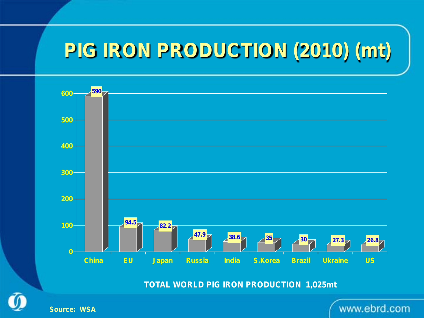## **PIG IRON PRODUCTION (2010) (mt)**



**TOTAL WORLD PIG IRON PRODUCTION 1,025mt**



*Source: WSA*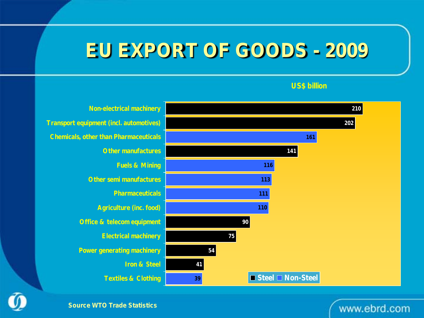### **EU EXPORT OF GOODS - 2009**



#### **US\$ billion**

*Source WTO Trade Statistics*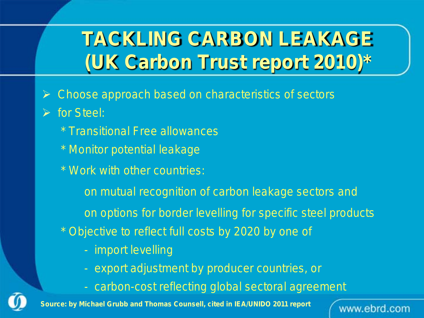# **TACKLING CARBON LEAKAGE (UK Carbon Trust report 2010)\***

- Choose approach based on characteristics of sectors
- $\triangleright$  for Steel:
	- \* Transitional Free allowances
	- \* Monitor potential leakage
	- \* Work with other countries:
		- on mutual recognition of carbon leakage sectors and
		- on options for border levelling for specific steel products
	- \* Objective to reflect full costs by 2020 by one of
		- import levelling
		- export adjustment by producer countries, or
		- carbon-cost reflecting global sectoral agreement

www.ebrd.com

*Source: by Michael Grubb and Thomas Counsell, cited in IEA/UNIDO 2011 report*